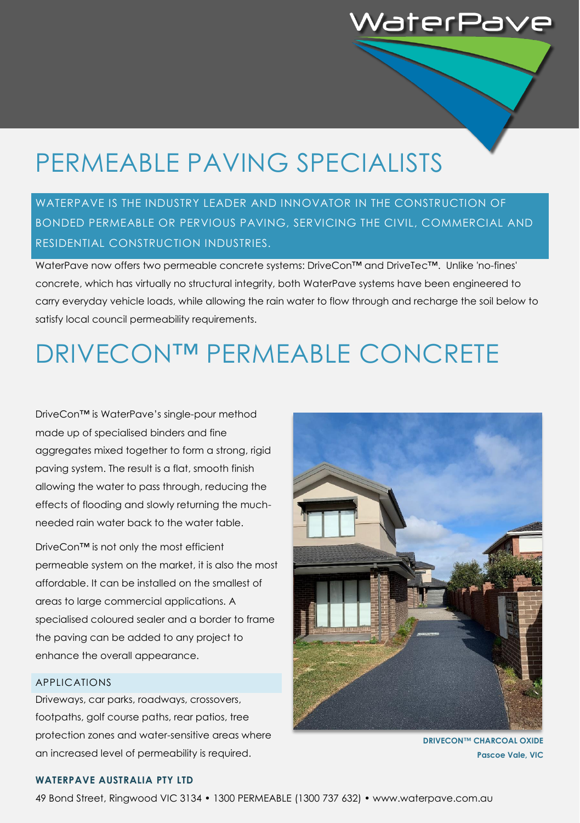## PERMEABLE PAVING SPECIALISTS

### WATERPAVE IS THE INDUSTRY LEADER AND INNOVATOR IN THE CONSTRUCTION OF BONDED PERMEABLE OR PERVIOUS PAVING, SERVICING THE CIVIL, COMMERCIAL AND RESIDENTIAL CONSTRUCTION INDUSTRIES.

WaterPave now offers two permeable concrete systems: DriveCon™ and DriveTec™. Unlike 'no-fines' concrete, which has virtually no structural integrity, both WaterPave systems have been engineered to carry everyday vehicle loads, while allowing the rain water to flow through and recharge the soil below to satisfy local council permeability requirements.

# DRIVECON™ PERMEABLE CONCRETE

DriveCon™ is WaterPave's single-pour method made up of specialised binders and fine aggregates mixed together to form a strong, rigid paving system. The result is a flat, smooth finish allowing the water to pass through, reducing the effects of flooding and slowly returning the muchneeded rain water back to the water table.

DriveCon™ is not only the most efficient permeable system on the market, it is also the most affordable. It can be installed on the smallest of areas to large commercial applications. A specialised coloured sealer and a border to frame the paving can be added to any project to enhance the overall appearance.

#### APPLICATIONS

Driveways, car parks, roadways, crossovers, footpaths, golf course paths, rear patios, tree protection zones and water-sensitive areas where an increased level of permeability is required.



WaterPa

**DRIVECON™ CHARCOAL OXIDE Pascoe Vale, VIC**

#### **WATERPAVE AUSTRALIA PTY LTD**

49 Bond Street, Ringwood VIC 3134 • 1300 PERMEABLE (1300 737 632) • www.waterpave.com.au